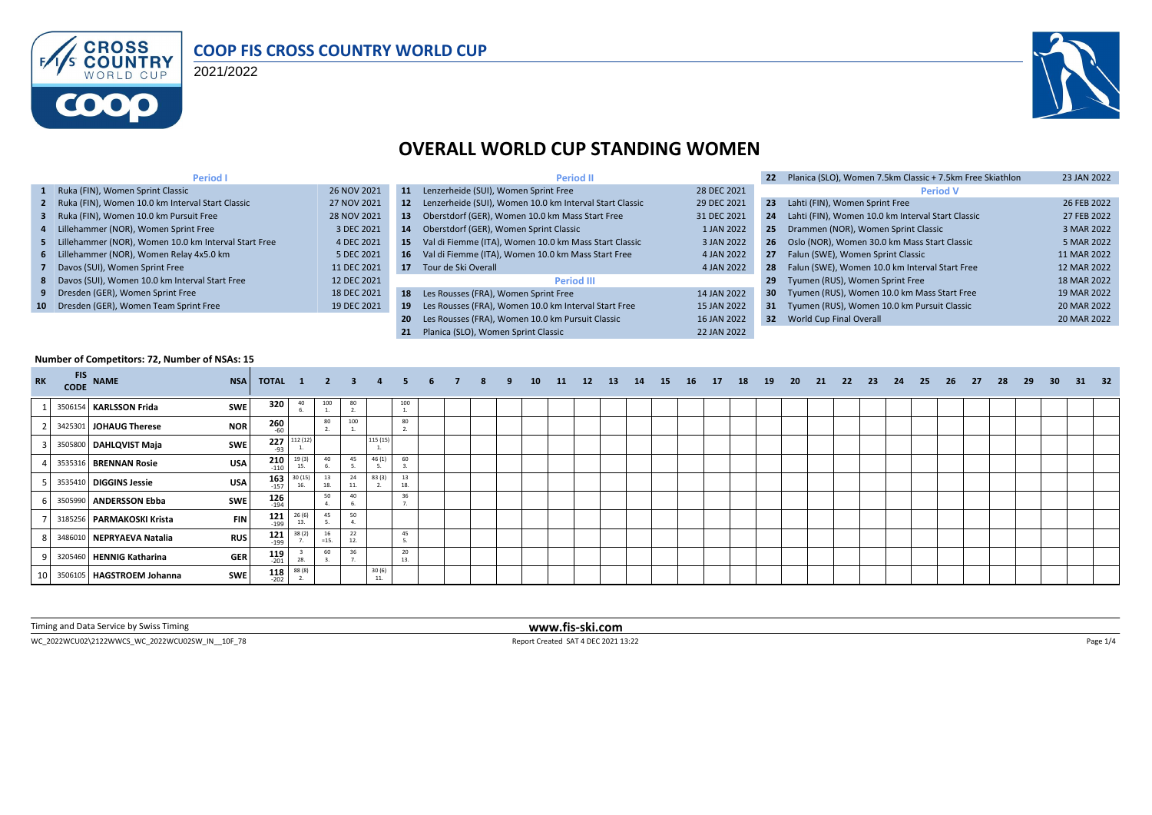

### **COOP FIS CROSS COUNTRY WORLD CUP**

2021/2022



## **OVERALL WORLD CUP STANDING WOMEN**

| <b>Period I</b>                                        |             |           | <b>Period II</b>                                           |             |                 | Planica (SLO), Women 7.5km Classic + 7.5km Free Skiathlon | 23 JAN 2022 |
|--------------------------------------------------------|-------------|-----------|------------------------------------------------------------|-------------|-----------------|-----------------------------------------------------------|-------------|
| 1 Ruka (FIN), Women Sprint Classic                     | 26 NOV 2021 | 11        | Lenzerheide (SUI), Women Sprint Free                       | 28 DEC 2021 |                 | <b>Period V</b>                                           |             |
| 2 Ruka (FIN), Women 10.0 km Interval Start Classic     | 27 NOV 2021 |           | 12 Lenzerheide (SUI), Women 10.0 km Interval Start Classic | 29 DEC 2021 | 23              | Lahti (FIN), Women Sprint Free                            | 26 FEB 2022 |
| 3 Ruka (FIN), Women 10.0 km Pursuit Free               | 28 NOV 2021 | 13        | Oberstdorf (GER), Women 10.0 km Mass Start Free            | 31 DEC 2021 | 24              | Lahti (FIN), Women 10.0 km Interval Start Classic         | 27 FEB 2022 |
| 4 Lillehammer (NOR), Women Sprint Free                 | 3 DEC 2021  | 14        | Oberstdorf (GER), Women Sprint Classic                     | 1 JAN 2022  | 25              | Drammen (NOR), Women Sprint Classic                       | 3 MAR 2022  |
| 5 Lillehammer (NOR), Women 10.0 km Interval Start Free | 4 DEC 2021  | -15       | Val di Fiemme (ITA), Women 10.0 km Mass Start Classic      | 3 JAN 2022  | -26             | Oslo (NOR), Women 30.0 km Mass Start Classic              | 5 MAR 2022  |
| 6 Lillehammer (NOR), Women Relay 4x5.0 km              | 5 DEC 2021  |           | 16 Val di Fiemme (ITA), Women 10.0 km Mass Start Free      | 4 JAN 2022  | 27              | Falun (SWE), Women Sprint Classic                         | 11 MAR 2022 |
| 7 Davos (SUI), Women Sprint Free                       | 11 DEC 2021 | 17        | Tour de Ski Overall                                        | 4 JAN 2022  | 28              | Falun (SWE), Women 10.0 km Interval Start Free            | 12 MAR 2022 |
| 8 Davos (SUI), Women 10.0 km Interval Start Free       | 12 DEC 2021 |           | <b>Period III</b>                                          |             | 29              | Tyumen (RUS), Women Sprint Free                           | 18 MAR 2022 |
| 9 Dresden (GER), Women Sprint Free                     | 18 DEC 2021 |           | 18 Les Rousses (FRA), Women Sprint Free                    | 14 JAN 2022 | 30 <sub>1</sub> | Tyumen (RUS), Women 10.0 km Mass Start Free               | 19 MAR 2022 |
| 10 Dresden (GER), Women Team Sprint Free               | 19 DEC 2021 | -19       | Les Rousses (FRA), Women 10.0 km Interval Start Free       | 15 JAN 2022 |                 | 31 Tyumen (RUS), Women 10.0 km Pursuit Classic            | 20 MAR 2022 |
|                                                        |             | <b>20</b> | Les Rousses (FRA), Women 10.0 km Pursuit Classic           | 16 JAN 2022 |                 | 32 World Cup Final Overall                                | 20 MAR 2022 |
|                                                        |             |           | Planica (SLO). Women Sprint Classic                        | 22 JAN 2022 |                 |                                                           |             |

#### **Number of Competitors: 72, Number of NSAs: 15**

| <b>RK</b> | <b>CODE</b> | $FIS$ NAME                | <b>NSA</b> | <b>TOTAL 1 2 3</b>   |                                     |              |           |              |           | 6 | 8 | 9. | 10 | 11 | 12 | <b>13</b> | 14 | 15 | <b>16</b> | 17 | - 18 | - 19 | 20 | 21 | - 22 | - 23 | -24 | 25 | 26 | - 27 | 28 | 29 | 30 <sub>2</sub> | - 31 | 32 <sub>2</sub> |
|-----------|-------------|---------------------------|------------|----------------------|-------------------------------------|--------------|-----------|--------------|-----------|---|---|----|----|----|----|-----------|----|----|-----------|----|------|------|----|----|------|------|-----|----|----|------|----|----|-----------------|------|-----------------|
|           |             | 3506154 KARLSSON Frida    | <b>SWE</b> | 320                  | 40                                  | 100          | 80        |              | 100       |   |   |    |    |    |    |           |    |    |           |    |      |      |    |    |      |      |     |    |    |      |    |    |                 |      |                 |
|           |             | 3425301 JOHAUG Therese    | <b>NOR</b> | 260<br>$-60$         |                                     | 80           | 100       |              | 80        |   |   |    |    |    |    |           |    |    |           |    |      |      |    |    |      |      |     |    |    |      |    |    |                 |      |                 |
|           |             | 3505800 DAHLQVIST Maja    | SWE        | 227<br>$-93$         | 112 (12                             |              |           | 115 (15      |           |   |   |    |    |    |    |           |    |    |           |    |      |      |    |    |      |      |     |    |    |      |    |    |                 |      |                 |
|           |             | 3535316 BRENNAN Rosie     | <b>USA</b> | 210<br>$-110$        | 19(3)<br>15.                        | 40           | 45        | 46(1)        | 60        |   |   |    |    |    |    |           |    |    |           |    |      |      |    |    |      |      |     |    |    |      |    |    |                 |      |                 |
|           |             | 3535410 DIGGINS Jessie    | <b>USA</b> | 163<br>$-157$        | 30(15)                              | 13<br>18     | 24<br>11. | 83 (3)       | 13<br>18. |   |   |    |    |    |    |           |    |    |           |    |      |      |    |    |      |      |     |    |    |      |    |    |                 |      |                 |
|           |             | 3505990 ANDERSSON Ebba    | SWE        | $126$ <sub>194</sub> |                                     | 50           | 40        |              | 36        |   |   |    |    |    |    |           |    |    |           |    |      |      |    |    |      |      |     |    |    |      |    |    |                 |      |                 |
|           |             | 3185256 PARMAKOSKI Krista | <b>FIN</b> | $121$<br>$199$       | 26(6)<br>13.                        | 45           | 50        |              |           |   |   |    |    |    |    |           |    |    |           |    |      |      |    |    |      |      |     |    |    |      |    |    |                 |      |                 |
|           |             | 3486010 NEPRYAEVA Natalia | <b>RUS</b> | 121<br>$-199$        | 38(2)                               | 16<br>$=15.$ | 22<br>12  |              | 45        |   |   |    |    |    |    |           |    |    |           |    |      |      |    |    |      |      |     |    |    |      |    |    |                 |      |                 |
|           |             | 3205460 HENNIG Katharina  | <b>GER</b> | $119$<br>$-201$      | 28.                                 | 60           |           |              | 20<br>13. |   |   |    |    |    |    |           |    |    |           |    |      |      |    |    |      |      |     |    |    |      |    |    |                 |      |                 |
|           |             | 3506105 HAGSTROEM Johanna | SWE        |                      | $\frac{118}{202}$ $\frac{88(8)}{2}$ |              |           | 30(6)<br>11. |           |   |   |    |    |    |    |           |    |    |           |    |      |      |    |    |      |      |     |    |    |      |    |    |                 |      |                 |

Timing and Data Service by Swiss Timing **www.fis-ski.com**

WC\_2022WCU02\2122WWCS\_WC\_2022WCU02SW\_IN\_\_10F\_78 Page 1/4 Report Created SAT 4 DEC 2021 13:22 Page 1/4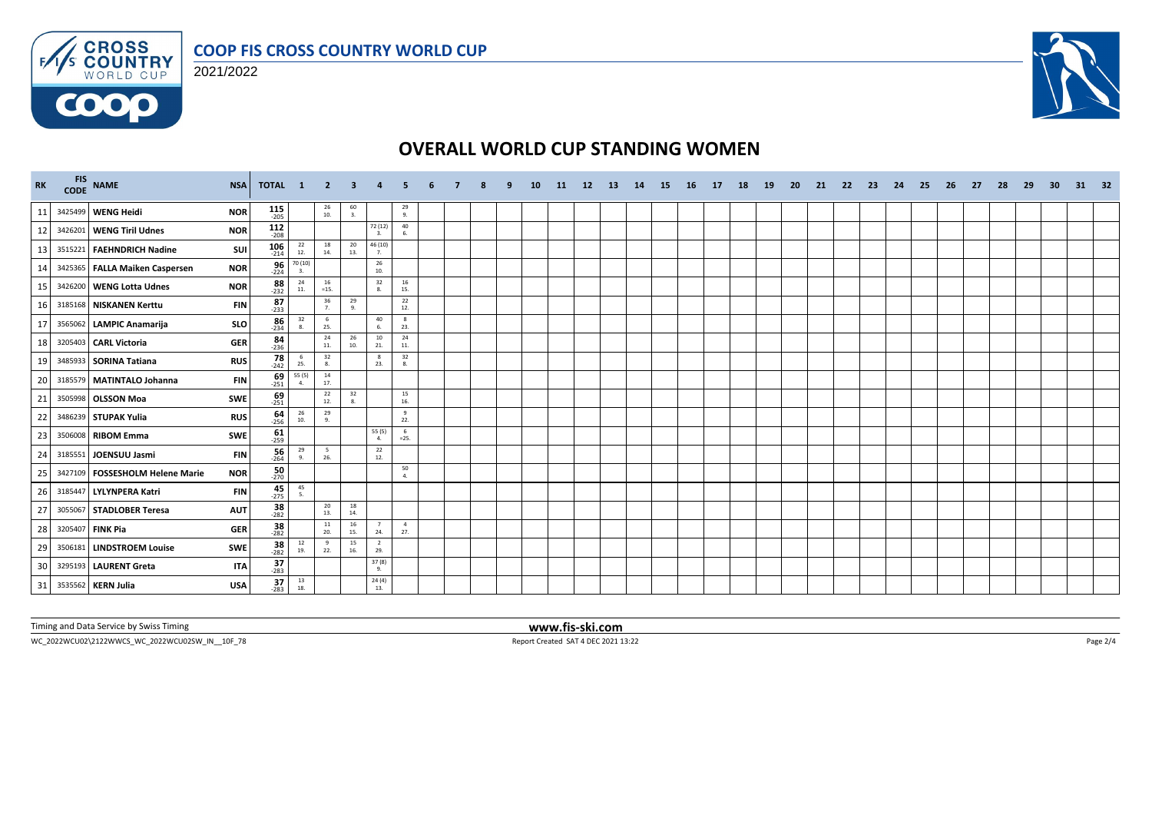

### 2021/2022



## **OVERALL WORLD CUP STANDING WOMEN**

| <b>RK</b> | FIS NAME                        | <b>NSA</b> | TOTAL 1               |                                                         | $\overline{\phantom{0}}$ 2               | -3             |                       |                       |  |  | <b>10</b> | -11 | 12 <sup>2</sup> | -13 | 14 | -15 | - 16 | - 17 | 18 | <b>19</b> | -20 | -21 | -22 | -23 | 24 | -25 | -26 | 27 | -28 | -29 | 30 | 31 | 32 |
|-----------|---------------------------------|------------|-----------------------|---------------------------------------------------------|------------------------------------------|----------------|-----------------------|-----------------------|--|--|-----------|-----|-----------------|-----|----|-----|------|------|----|-----------|-----|-----|-----|-----|----|-----|-----|----|-----|-----|----|----|----|
| 11        | 3425499 WENG Heidi              | <b>NOR</b> | $115$ <sub>-205</sub> |                                                         | $\begin{array}{c} 26 \\ 10. \end{array}$ | $\frac{60}{3}$ |                       | 29<br>9.              |  |  |           |     |                 |     |    |     |      |      |    |           |     |     |     |     |    |     |     |    |     |     |    |    |    |
| 12        | 3426201 WENG Tiril Udnes        | <b>NOR</b> | $112$<br>$-208$       |                                                         |                                          |                | 72 (12)<br>3.         | 40<br>6.              |  |  |           |     |                 |     |    |     |      |      |    |           |     |     |     |     |    |     |     |    |     |     |    |    |    |
| 13        | 3515221 FAEHNDRICH Nadine       | SUI        | $106$ <sub>-214</sub> | 22<br>12.                                               | 18<br>14.                                | 20<br>13.      | 46 (10)<br>7.         |                       |  |  |           |     |                 |     |    |     |      |      |    |           |     |     |     |     |    |     |     |    |     |     |    |    |    |
| 14        | 3425365 FALLA Maiken Caspersen  | <b>NOR</b> | $\frac{96}{224}$      | $\begin{array}{c} 70\,(10)\\-\phantom{0}3. \end{array}$ |                                          |                | 26<br>10.             |                       |  |  |           |     |                 |     |    |     |      |      |    |           |     |     |     |     |    |     |     |    |     |     |    |    |    |
| 15        | 3426200 WENG Lotta Udnes        | <b>NOR</b> | $88$<br>-232          | 24<br>11.                                               | 16<br>$=15.$                             |                | 32<br>8.              | 16<br>15.             |  |  |           |     |                 |     |    |     |      |      |    |           |     |     |     |     |    |     |     |    |     |     |    |    |    |
| 16        | 3185168 NISKANEN Kerttu         | <b>FIN</b> | $87 - 233$            |                                                         | 36<br>7.                                 | 29<br>9.       |                       | 22<br>12.             |  |  |           |     |                 |     |    |     |      |      |    |           |     |     |     |     |    |     |     |    |     |     |    |    |    |
| 17        | 3565062 LAMPIC Anamarija        | SLO        | $86 - 234$            | $\begin{array}{c} 32 \\ 8. \end{array}$                 | 6<br>25.                                 |                | 40<br>6.              | 8<br>23.              |  |  |           |     |                 |     |    |     |      |      |    |           |     |     |     |     |    |     |     |    |     |     |    |    |    |
| 18        | 3205403 CARL Victoria           | <b>GER</b> | $\frac{84}{236}$      |                                                         | 24<br>11.                                | 26<br>10.      | 10<br>21.             | 24<br>11.             |  |  |           |     |                 |     |    |     |      |      |    |           |     |     |     |     |    |     |     |    |     |     |    |    |    |
| 19        | 3485933 SORINA Tatiana          | <b>RUS</b> | $\frac{78}{242}$      | - 6<br>25.                                              | 32<br>8.                                 |                | 8<br>23.              | 32<br>8.              |  |  |           |     |                 |     |    |     |      |      |    |           |     |     |     |     |    |     |     |    |     |     |    |    |    |
| 20        | 3185579 MATINTALO Johanna       | <b>FIN</b> | $\frac{69}{251}$      | 55 (5)<br>4.                                            | $\frac{14}{17}$                          |                |                       |                       |  |  |           |     |                 |     |    |     |      |      |    |           |     |     |     |     |    |     |     |    |     |     |    |    |    |
| 21        | 3505998 OLSSON Moa              | SWE        | $69 - 251$            |                                                         | 22<br>12.                                | 32<br>8.       |                       | 15<br>16.             |  |  |           |     |                 |     |    |     |      |      |    |           |     |     |     |     |    |     |     |    |     |     |    |    |    |
| 22        | 3486239 STUPAK Yulia            | <b>RUS</b> | $64 - 256$            | 26<br>10.                                               | 29<br>9.                                 |                |                       | 9<br>22.              |  |  |           |     |                 |     |    |     |      |      |    |           |     |     |     |     |    |     |     |    |     |     |    |    |    |
| 23        | 3506008 RIBOM Emma              | SWE        | $\frac{61}{259}$      |                                                         |                                          |                | 55 (5)<br>4.          | 6<br>$=25.$           |  |  |           |     |                 |     |    |     |      |      |    |           |     |     |     |     |    |     |     |    |     |     |    |    |    |
| 24        | 3185551 JOENSUU Jasmi           | <b>FIN</b> | $\frac{56}{264}$      | 29<br>9.                                                | 5<br>26.                                 |                | 22<br>12.             |                       |  |  |           |     |                 |     |    |     |      |      |    |           |     |     |     |     |    |     |     |    |     |     |    |    |    |
| 25        | 3427109 FOSSESHOLM Helene Marie | <b>NOR</b> | $50 - 270$            |                                                         |                                          |                |                       | 50<br>$\mathbf{A}$    |  |  |           |     |                 |     |    |     |      |      |    |           |     |     |     |     |    |     |     |    |     |     |    |    |    |
| 26        | 3185447 LYLYNPERA Katri         | <b>FIN</b> | $45 - 275$            | $\frac{45}{5}$                                          |                                          |                |                       |                       |  |  |           |     |                 |     |    |     |      |      |    |           |     |     |     |     |    |     |     |    |     |     |    |    |    |
| 27        | 3055067 STADLOBER Teresa        | <b>AUT</b> | $38 - 282$            |                                                         | 20<br>13.                                | 18<br>14.      |                       |                       |  |  |           |     |                 |     |    |     |      |      |    |           |     |     |     |     |    |     |     |    |     |     |    |    |    |
| 28        | 3205407 FINK Pia                | <b>GER</b> | $38 - 282$            |                                                         | 11<br>20.                                | 16<br>15.      | $\overline{7}$<br>24. | $\overline{4}$<br>27. |  |  |           |     |                 |     |    |     |      |      |    |           |     |     |     |     |    |     |     |    |     |     |    |    |    |
| 29        | 3506181 LINDSTROEM Louise       | <b>SWE</b> | $38 - 282$            | $\begin{array}{c} 12 \\ 19. \end{array}$                | 9<br>22.                                 | 15<br>16.      | $\overline{2}$<br>29. |                       |  |  |           |     |                 |     |    |     |      |      |    |           |     |     |     |     |    |     |     |    |     |     |    |    |    |
| 30        | 3295193 LAURENT Greta           | <b>ITA</b> | $37 - 283$            |                                                         |                                          |                | 37(8)<br>9.           |                       |  |  |           |     |                 |     |    |     |      |      |    |           |     |     |     |     |    |     |     |    |     |     |    |    |    |
| 31        | 3535562 KERN Julia              | <b>USA</b> | $\frac{37}{283}$      | $\begin{array}{c} 13 \\ 18. \end{array}$                |                                          |                | 24(4)<br>13.          |                       |  |  |           |     |                 |     |    |     |      |      |    |           |     |     |     |     |    |     |     |    |     |     |    |    |    |

Timing and Data Service by Swiss Timing **www.fis-ski.com**

WC\_2022WCU02\2122WWCS\_WC\_2022WCU02SW\_IN\_\_10F\_78 Report Created SAT 4 DEC 2021 13:22 Page 2/4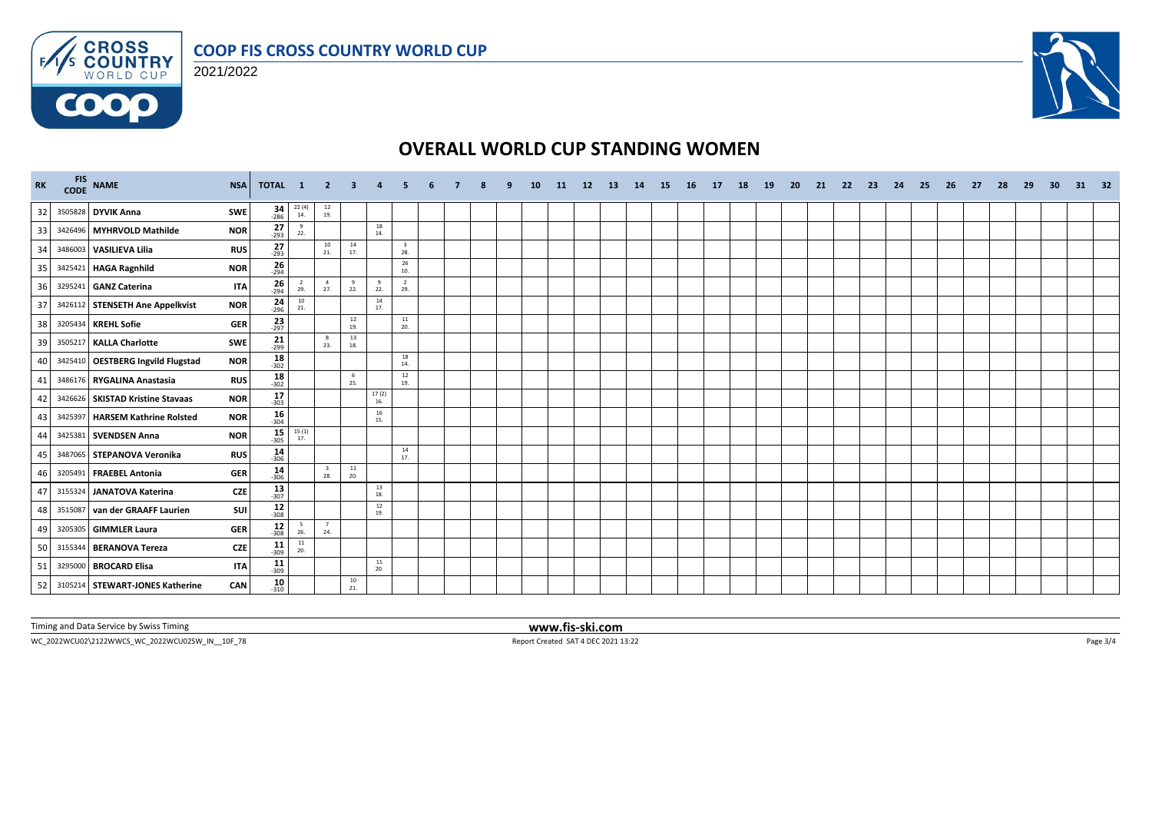





# **OVERALL WORLD CUP STANDING WOMEN**

| <b>RK</b> | FIS NAME<br><b>NSA</b>                          | <b>TOTAL</b>              | $\blacksquare$        | $\mathbf{2}$                             | -3         |              |                                |  |  | 10 | -11 | 12 <sup>2</sup> | <b>13</b> | 14 | <b>15</b> | <b>16</b> | <b>17</b> | 18 | <b>19</b> | -20 | 21 | -22 | -23 | 24 | 25 | 26 | 27 | 28 | -29 | -30 | 31 | 32 |
|-----------|-------------------------------------------------|---------------------------|-----------------------|------------------------------------------|------------|--------------|--------------------------------|--|--|----|-----|-----------------|-----------|----|-----------|-----------|-----------|----|-----------|-----|----|-----|-----|----|----|----|----|----|-----|-----|----|----|
| 32        | 3505828 DYVIK Anna<br>SWE                       | $34 - 286$                | $^{22}$ (4)<br>14.    | $\begin{array}{c} 12 \\ 19. \end{array}$ |            |              |                                |  |  |    |     |                 |           |    |           |           |           |    |           |     |    |     |     |    |    |    |    |    |     |     |    |    |
| 33        | 3426496 MYHRVOLD Mathilde<br><b>NOR</b>         | $27_{293}$                | $^{9}$<br>22.         |                                          |            | 18<br>14.    |                                |  |  |    |     |                 |           |    |           |           |           |    |           |     |    |     |     |    |    |    |    |    |     |     |    |    |
| 34        | 3486003 VASILIEVA Lilia<br><b>RUS</b>           | $27 - 293$                |                       | 10<br>21.                                | 14<br>17.  |              | $\overline{\mathbf{3}}$<br>28. |  |  |    |     |                 |           |    |           |           |           |    |           |     |    |     |     |    |    |    |    |    |     |     |    |    |
| 35        | 3425421 HAGA Ragnhild<br><b>NOR</b>             | $26 - 294$                |                       |                                          |            |              | 26<br>10.                      |  |  |    |     |                 |           |    |           |           |           |    |           |     |    |     |     |    |    |    |    |    |     |     |    |    |
| 36        | 3295241 GANZ Caterina                           | $26 - 294$<br><b>ITA</b>  | $\overline{2}$<br>29. | $\overline{4}$<br>27.                    | 9<br>22.   | -9<br>22.    | $\overline{2}$<br>29.          |  |  |    |     |                 |           |    |           |           |           |    |           |     |    |     |     |    |    |    |    |    |     |     |    |    |
| 37        | 3426112 STENSETH Ane Appelkvist<br><b>NOR</b>   | $\frac{24}{296}$          | 10<br>21.             |                                          |            | 14<br>17.    |                                |  |  |    |     |                 |           |    |           |           |           |    |           |     |    |     |     |    |    |    |    |    |     |     |    |    |
| 38        | 3205434 KREHL Sofie<br><b>GER</b>               | $\frac{23}{297}$          |                       |                                          | 12<br>19.  |              | $11\,$<br>20.                  |  |  |    |     |                 |           |    |           |           |           |    |           |     |    |     |     |    |    |    |    |    |     |     |    |    |
| 39        | 3505217 KALLA Charlotte<br><b>SWE</b>           | $\frac{21}{299}$          |                       | 8<br>23.                                 | 13<br>18.  |              |                                |  |  |    |     |                 |           |    |           |           |           |    |           |     |    |     |     |    |    |    |    |    |     |     |    |    |
| 40        | 3425410 OESTBERG Ingvild Flugstad<br><b>NOR</b> | $18 - 302$                |                       |                                          |            |              | 18<br>14.                      |  |  |    |     |                 |           |    |           |           |           |    |           |     |    |     |     |    |    |    |    |    |     |     |    |    |
| 41        | 3486176 RYGALINA Anastasia<br><b>RUS</b>        | 18<br>$-302$              |                       |                                          | - 6<br>25. |              | 12<br>19.                      |  |  |    |     |                 |           |    |           |           |           |    |           |     |    |     |     |    |    |    |    |    |     |     |    |    |
| 42        | 3426626 SKISTAD Kristine Stavaas<br><b>NOR</b>  | $17_{-303}$               |                       |                                          |            | 17(2)<br>16. |                                |  |  |    |     |                 |           |    |           |           |           |    |           |     |    |     |     |    |    |    |    |    |     |     |    |    |
| 43        | 3425397 HARSEM Kathrine Rolsted<br><b>NOR</b>   | $16 - 304$                |                       |                                          |            | 16<br>15.    |                                |  |  |    |     |                 |           |    |           |           |           |    |           |     |    |     |     |    |    |    |    |    |     |     |    |    |
| 44        | 3425381 SVENDSEN Anna<br><b>NOR</b>             | $15 - 305$                | $\frac{15(1)}{17}$    |                                          |            |              |                                |  |  |    |     |                 |           |    |           |           |           |    |           |     |    |     |     |    |    |    |    |    |     |     |    |    |
| 45        | 3487065 STEPANOVA Veronika<br><b>RUS</b>        | $14 \over 306$            |                       |                                          |            |              | 14<br>17.                      |  |  |    |     |                 |           |    |           |           |           |    |           |     |    |     |     |    |    |    |    |    |     |     |    |    |
| 46        | <b>GER</b><br>3205491 FRAEBEL Antonia           | $14 \over 306$            |                       | $\overline{\mathbf{3}}$<br>28.           | 11<br>20.  |              |                                |  |  |    |     |                 |           |    |           |           |           |    |           |     |    |     |     |    |    |    |    |    |     |     |    |    |
| 47        | 3155324 JANATOVA Katerina<br><b>CZE</b>         | $13 \over 307$            |                       |                                          |            | 13<br>18.    |                                |  |  |    |     |                 |           |    |           |           |           |    |           |     |    |     |     |    |    |    |    |    |     |     |    |    |
| 48        | 3515087 van der GRAAFF Laurien                  | $12_{-308}$<br>SUI        |                       |                                          |            | 12<br>19.    |                                |  |  |    |     |                 |           |    |           |           |           |    |           |     |    |     |     |    |    |    |    |    |     |     |    |    |
| 49        | 3205305 GIMMLER Laura<br><b>GER</b>             | $12_{308}$                | 5<br>26.              | 7<br>24.                                 |            |              |                                |  |  |    |     |                 |           |    |           |           |           |    |           |     |    |     |     |    |    |    |    |    |     |     |    |    |
| 50        | 3155344 BERANOVA Tereza<br><b>CZE</b>           | $11$<br>$-309$            | 11<br>20.             |                                          |            |              |                                |  |  |    |     |                 |           |    |           |           |           |    |           |     |    |     |     |    |    |    |    |    |     |     |    |    |
| 51        | 3295000 BROCARD Elisa                           | $11_{-309}$<br><b>ITA</b> |                       |                                          |            | 11<br>20.    |                                |  |  |    |     |                 |           |    |           |           |           |    |           |     |    |     |     |    |    |    |    |    |     |     |    |    |
| 52        | 3105214 STEWART-JONES Katherine<br>CAN          | 10<br>$-310$              |                       |                                          | 10<br>21.  |              |                                |  |  |    |     |                 |           |    |           |           |           |    |           |     |    |     |     |    |    |    |    |    |     |     |    |    |

Timing and Data Service by Swiss Timing **www.fis-ski.com**

WC\_2022WCU02\2122WWCS\_WC\_2022WCU02SW\_IN\_\_10F\_78 Report Created SAT 4 DEC 2021 13:22 Page 3/4